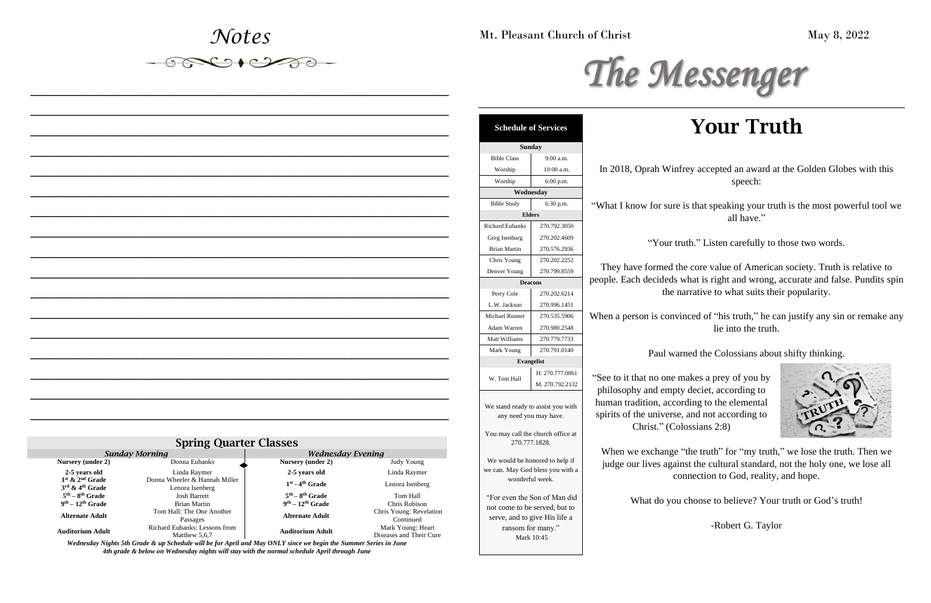*Notes*

*\_\_\_\_\_\_\_\_\_\_\_\_\_\_\_\_\_\_\_\_\_\_\_\_\_\_\_\_\_\_\_\_\_\_\_\_\_\_\_\_\_\_\_\_\_\_\_\_\_\_*

*\_\_\_\_\_\_\_\_\_\_\_\_\_\_\_\_\_\_\_\_\_\_\_\_\_\_\_\_\_\_\_\_\_\_\_\_\_\_\_\_\_\_\_\_\_\_\_\_\_\_*

*\_\_\_\_\_\_\_\_\_\_\_\_\_\_\_\_\_\_\_\_\_\_\_\_\_\_\_\_\_\_\_\_\_\_\_\_\_\_\_\_\_\_\_\_\_\_\_\_\_\_*

*\_\_\_\_\_\_\_\_\_\_\_\_\_\_\_\_\_\_\_\_\_\_\_\_\_\_\_\_\_\_\_\_\_\_\_\_\_\_\_\_\_\_\_\_\_\_\_\_\_\_*

*\_\_\_\_\_\_\_\_\_\_\_\_\_\_\_\_\_\_\_\_\_\_\_\_\_\_\_\_\_\_\_\_\_\_\_\_\_\_\_\_\_\_\_\_\_\_\_\_\_\_*

*\_\_\_\_\_\_\_\_\_\_\_\_\_\_\_\_\_\_\_\_\_\_\_\_\_\_\_\_\_\_\_\_\_\_\_\_\_\_\_\_\_\_\_\_\_\_\_\_\_\_*

*\_\_\_\_\_\_\_\_\_\_\_\_\_\_\_\_\_\_\_\_\_\_\_\_\_\_\_\_\_\_\_\_\_\_\_\_\_\_\_\_\_\_\_\_\_\_\_\_\_\_*

*\_\_\_\_\_\_\_\_\_\_\_\_\_\_\_\_\_\_\_\_\_\_\_\_\_\_\_\_\_\_\_\_\_\_\_\_\_\_\_\_\_\_\_\_\_\_\_\_\_\_*

*\_\_\_\_\_\_\_\_\_\_\_\_\_\_\_\_\_\_\_\_\_\_\_\_\_\_\_\_\_\_\_\_\_\_\_\_\_\_\_\_\_\_\_\_\_\_\_\_\_\_*

*\_\_\_\_\_\_\_\_\_\_\_\_\_\_\_\_\_\_\_\_\_\_\_\_\_\_\_\_\_\_\_\_\_\_\_\_\_\_\_\_\_\_\_\_\_\_\_\_\_\_*

nfrey accepted an award at the Golden Globes with this speech:

*\_\_\_\_\_\_\_\_\_\_\_\_\_\_\_\_\_\_\_\_\_\_\_\_\_\_\_\_\_\_\_\_\_\_\_\_\_\_\_\_\_\_\_\_\_\_\_\_\_\_*

re is that speaking your truth is the most powerful tool we all have."

truth." Listen carefully to those two words.

the core value of American society. Truth is relative to s what is right and wrong, accurate and false. Pundits spin narrative to what suits their popularity.

*\_\_\_\_\_\_\_\_\_\_\_\_\_\_\_\_\_\_\_\_\_\_\_\_\_\_\_\_\_\_\_\_\_\_\_\_\_\_\_\_\_\_\_\_\_\_\_\_\_\_*

*\_\_\_\_\_\_\_\_\_\_\_\_\_\_\_\_\_\_\_\_\_\_\_\_\_\_\_\_\_\_\_\_\_\_\_\_\_\_\_\_\_\_\_\_\_\_\_\_\_\_*

*\_\_\_\_\_\_\_\_\_\_\_\_\_\_\_\_\_\_\_\_\_\_\_\_\_\_\_\_\_\_\_\_\_\_\_\_\_\_\_\_\_\_\_\_\_\_\_\_\_\_*

winced of "his truth," he can justify any sin or remake any lie into the truth.

varned the Colossians about shifty thinking.

makes a prey of you by pty deciet, according to cording to the elemental se, and not according to  $\text{c}$  (olossians 2:8)



*\_\_\_\_\_\_\_\_\_\_\_\_\_\_\_\_\_\_\_\_\_\_\_\_\_\_\_\_\_\_\_\_\_\_\_\_\_\_\_\_\_\_\_\_\_\_\_\_\_\_*

*\_\_\_\_\_\_\_\_\_\_\_\_\_\_\_\_\_\_\_\_\_\_\_\_\_\_\_\_\_\_\_\_\_\_\_\_\_\_\_\_\_\_\_\_\_\_\_\_\_\_*

*\_\_\_\_\_\_\_\_\_\_\_\_\_\_\_\_\_\_\_\_\_\_\_\_\_\_\_\_\_\_\_\_\_\_\_\_\_\_\_\_\_\_\_\_\_\_\_\_\_\_*

# Your Truth

e "the truth" for "my truth," we lose the truth. Then we ainst the cultural standard, not the holy one, we lose all connection to God, reality, and hope.

ou choose to believe? Your truth or God's truth!

-Robert G. Taylor

| <b>Spring Quarter Classes</b>                                  |                                                  |                               |                                              |
|----------------------------------------------------------------|--------------------------------------------------|-------------------------------|----------------------------------------------|
|                                                                | <b>Sunday Morning</b>                            | <b>Wednesday Evening</b>      |                                              |
| Nursery (under 2)                                              | Donna Eubanks                                    | Nursery (under 2)             | Judy Young                                   |
| 2-5 years old                                                  | Linda Raymer                                     | 2-5 years old                 | Linda Raymer                                 |
| $1st$ & $2nd$ Grade<br>$3^{\text{rd}}$ & $4^{\text{th}}$ Grade | Donna Wheeler & Hannah Miller<br>Lenora Isenberg | $1st$ - 4 <sup>th</sup> Grade | Lenora Isenberg                              |
| $5th - 8th$ Grade                                              | <b>Josh Barrett</b>                              | $5th - 8th$ Grade             | Tom Hall                                     |
| $9th - 12th$ Grade                                             | Brian Martin                                     | $9th - 12th$ Grade            | Chris Robison                                |
| <b>Alternate Adult</b>                                         | Tom Hall: The One Another<br>Passages            | <b>Alternate Adult</b>        | Chris Young: Revelation<br>Continued         |
| <b>Auditorium Adult</b>                                        | Richard Eubanks: Lessons from<br>Matthew 5,6,7   | <b>Auditorium Adult</b>       | Mark Young: Heart<br>Diseases and Their Cure |

*Wednesday Nights 5th Grade & up Schedule will be for April and May ONLY since we begin the Summer Series in June 4th grade & below on Wednesday nights will stay with the normal schedule April through June*



Mt. Pleasant Church of Christ May 8, 2022

|                         | <b>Sunday</b>                                                                                  |                        |
|-------------------------|------------------------------------------------------------------------------------------------|------------------------|
|                         | $9:00$ a.m.                                                                                    | <b>Bible Class</b>     |
| In 2018, Oprah Wir      | 10:00 a.m.                                                                                     | Worship                |
|                         | 6:00 p.m.                                                                                      | Worship                |
|                         |                                                                                                | Wednesday              |
| "What I know for sur    | 6:30 p.m.                                                                                      | <b>Bible Study</b>     |
|                         |                                                                                                | <b>Elders</b>          |
|                         | 270.792.3050                                                                                   | <b>Richard Eubanks</b> |
| "Your                   | 270.202.4609                                                                                   | Greg Isenburg          |
|                         | 270.576.2936                                                                                   | <b>Brian Martin</b>    |
|                         | 270.202.2252                                                                                   | Chris Young            |
| They have formed        | 270.799.8559                                                                                   | Denver Young           |
| people. Each decideds   |                                                                                                | <b>Deacons</b>         |
| the                     | 270.202.6214                                                                                   | Perry Cole             |
|                         | 270.996.1451                                                                                   | L.W. Jackson           |
| When a person is con    | 270.535.5906                                                                                   | Michael Runner         |
|                         | 270.980.2548                                                                                   | Adam Warren            |
|                         | 270.779.7733                                                                                   | Matt Williams          |
| Paul w                  | 270.791.0140                                                                                   | Mark Young             |
|                         |                                                                                                | <b>Evangelist</b>      |
| "See to it that no one" | H: 270.777.0861                                                                                |                        |
|                         | M. 270.792.2132                                                                                | W. Tom Hall            |
| philosophy and emp      |                                                                                                |                        |
| human tradition, acc    | We stand ready to assist you with                                                              |                        |
| spirits of the univers  |                                                                                                | any need you may have. |
| Christ." (C             | You may call the church office at<br>270.777.1828.                                             |                        |
|                         |                                                                                                |                        |
| When we exchange        |                                                                                                |                        |
| judge our lives aga     | We would be honored to help if                                                                 |                        |
|                         | we can. May God bless you with a<br>wonderful week.                                            |                        |
|                         |                                                                                                |                        |
| What do yo              | "For even the Son of Man did<br>not come to be served, but to<br>serve, and to give His life a |                        |
|                         |                                                                                                |                        |
|                         |                                                                                                |                        |
|                         |                                                                                                |                        |
|                         |                                                                                                | ransom for many."      |

|                                                                                                                                   | <b>Schedule of Services</b> |  |
|-----------------------------------------------------------------------------------------------------------------------------------|-----------------------------|--|
| <b>Sunday</b>                                                                                                                     |                             |  |
| <b>Bible Class</b>                                                                                                                | $9:00$ a.m.                 |  |
| Worship                                                                                                                           | 10:00 a.m.                  |  |
| Worship                                                                                                                           | 6:00 p.m.                   |  |
|                                                                                                                                   | Wednesday                   |  |
| <b>Bible Study</b>                                                                                                                | 6:30 p.m.                   |  |
|                                                                                                                                   | <b>Elders</b>               |  |
| <b>Richard Eubanks</b>                                                                                                            | 270.792.3050                |  |
| Greg Isenburg                                                                                                                     | 270.202.4609                |  |
| <b>Brian Martin</b>                                                                                                               | 270.576.2936                |  |
| Chris Young                                                                                                                       | 270.202.2252                |  |
| Denver Young                                                                                                                      | 270.799.8559                |  |
| <b>Deacons</b>                                                                                                                    |                             |  |
| Perry Cole                                                                                                                        | 270.202.6214                |  |
| L.W. Jackson                                                                                                                      | 270.996.1451                |  |
| <b>Michael Runner</b>                                                                                                             | 270.535.5906                |  |
| Adam Warren                                                                                                                       | 270.980.2548                |  |
| Matt Williams                                                                                                                     | 270.779.7733                |  |
| Mark Young                                                                                                                        | 270.791.0140                |  |
|                                                                                                                                   | <b>Evangelist</b>           |  |
|                                                                                                                                   | H: 270.777.0861             |  |
| W. Tom Hall                                                                                                                       | M. 270.792.2132             |  |
| We stand ready to assist you with<br>any need you may have.                                                                       |                             |  |
| You may call the church office at<br>270.777.1828.                                                                                |                             |  |
| We would be honored to help if<br>we can. May God bless you with a<br>wonderful week.                                             |                             |  |
| "For even the Son of Man did<br>not come to be served, but to<br>serve, and to give His life a<br>ransom for many."<br>Mark 10:45 |                             |  |